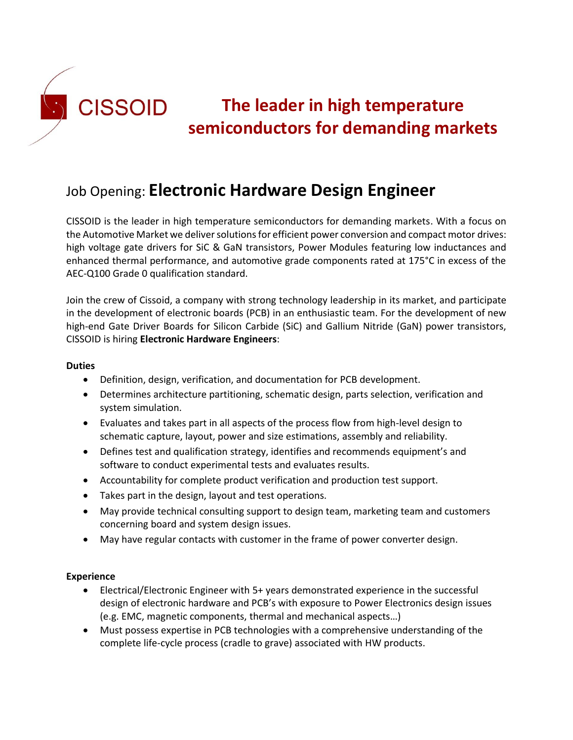

# **The leader in high temperature semiconductors for demanding markets**

# Job Opening: **Electronic Hardware Design Engineer**

CISSOID is the leader in high temperature semiconductors for demanding markets. With a focus on the Automotive Market we deliver solutions for efficient power conversion and compact motor drives: high voltage gate drivers for SiC & GaN transistors, Power Modules featuring low inductances and enhanced thermal performance, and automotive grade components rated at 175°C in excess of the AEC-Q100 Grade 0 qualification standard.

Join the crew of Cissoid, a company with strong technology leadership in its market, and participate in the development of electronic boards (PCB) in an enthusiastic team. For the development of new high-end Gate Driver Boards for Silicon Carbide (SiC) and Gallium Nitride (GaN) power transistors, CISSOID is hiring **Electronic Hardware Engineers**:

#### **Duties**

- Definition, design, verification, and documentation for PCB development.
- Determines architecture partitioning, schematic design, parts selection, verification and system simulation.
- Evaluates and takes part in all aspects of the process flow from high-level design to schematic capture, layout, power and size estimations, assembly and reliability.
- Defines test and qualification strategy, identifies and recommends equipment's and software to conduct experimental tests and evaluates results.
- Accountability for complete product verification and production test support.
- Takes part in the design, layout and test operations.
- May provide technical consulting support to design team, marketing team and customers concerning board and system design issues.
- May have regular contacts with customer in the frame of power converter design.

#### **Experience**

- Electrical/Electronic Engineer with 5+ years demonstrated experience in the successful design of electronic hardware and PCB's with exposure to Power Electronics design issues (e.g. EMC, magnetic components, thermal and mechanical aspects…)
- Must possess expertise in PCB technologies with a comprehensive understanding of the complete life-cycle process (cradle to grave) associated with HW products.